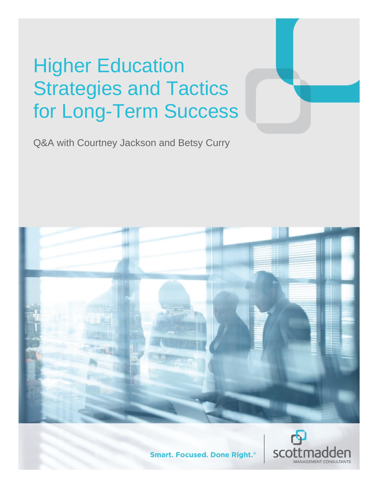# **Higher Education** Strategies and Tactics for Long-Term Success

Q&A with Courtney Jackson and Betsy Curry





**Smart. Focused. Done Right.**®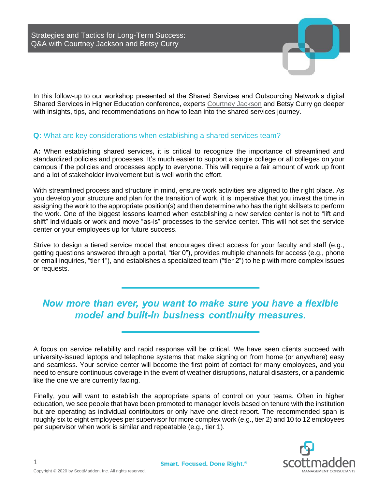In this follow-up to our workshop presented at the Shared Services and Outsourcing Network's digital Shared Services in Higher Education conference, experts [Courtney Jackson](https://www.scottmadden.com/person/courtney-jackson/) and Betsy Curry go deeper with insights, tips, and recommendations on how to lean into the shared services journey.

#### **Q:** What are key considerations when establishing a shared services team?

**A:** When establishing shared services, it is critical to recognize the importance of streamlined and standardized policies and processes. It's much easier to support a single college or all colleges on your campus if the policies and processes apply to everyone. This will require a fair amount of work up front and a lot of stakeholder involvement but is well worth the effort.

With streamlined process and structure in mind, ensure work activities are aligned to the right place. As you develop your structure and plan for the transition of work, it is imperative that you invest the time in assigning the work to the appropriate position(s) and then determine who has the right skillsets to perform the work. One of the biggest lessons learned when establishing a new service center is not to "lift and shift" individuals or work and move "as-is" processes to the service center. This will not set the service center or your employees up for future success.

Strive to design a tiered service model that encourages direct access for your faculty and staff (e.g., getting questions answered through a portal, "tier 0"), provides multiple channels for access (e.g., phone or email inquiries, "tier 1"), and establishes a specialized team ("tier 2") to help with more complex issues or requests.

# Now more than ever, you want to make sure you have a flexible model and built-in business continuity measures.

A focus on service reliability and rapid response will be critical. We have seen clients succeed with university-issued laptops and telephone systems that make signing on from home (or anywhere) easy and seamless. Your service center will become the first point of contact for many employees, and you need to ensure continuous coverage in the event of weather disruptions, natural disasters, or a pandemic like the one we are currently facing.

Finally, you will want to establish the appropriate spans of control on your teams. Often in higher education, we see people that have been promoted to manager levels based on tenure with the institution but are operating as individual contributors or only have one direct report. The recommended span is roughly six to eight employees per supervisor for more complex work (e.g., tier 2) and 10 to 12 employees per supervisor when work is similar and repeatable (e.g., tier 1).

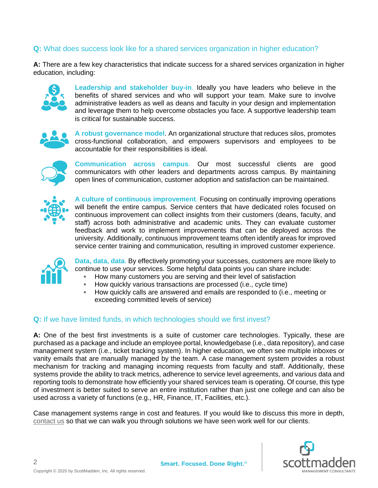# **Q:** What does success look like for a shared services organization in higher education?

**A:** There are a few key characteristics that indicate success for a shared services organization in higher education, including:



**Leadership and stakeholder buy-in**. Ideally you have leaders who believe in the benefits of shared services and who will support your team. Make sure to involve administrative leaders as well as deans and faculty in your design and implementation and leverage them to help overcome obstacles you face. A supportive leadership team is critical for sustainable success.



**A robust governance model**. An organizational structure that reduces silos, promotes cross-functional collaboration, and empowers supervisors and employees to be accountable for their responsibilities is ideal.



**Communication across campus**. Our most successful clients are good communicators with other leaders and departments across campus. By maintaining open lines of communication, customer adoption and satisfaction can be maintained.



**A culture of continuous improvement**. Focusing on continually improving operations will benefit the entire campus. Service centers that have dedicated roles focused on continuous improvement can collect insights from their customers (deans, faculty, and staff) across both administrative and academic units. They can evaluate customer feedback and work to implement improvements that can be deployed across the university. Additionally, continuous improvement teams often identify areas for improved service center training and communication, resulting in improved customer experience.



**Data, data, data**. By effectively promoting your successes, customers are more likely to continue to use your services. Some helpful data points you can share include:

- How many customers you are serving and their level of satisfaction
- How quickly various transactions are processed (i.e., cycle time)
- How quickly calls are answered and emails are responded to (i.e., meeting or exceeding committed levels of service)

## **Q:** If we have limited funds, in which technologies should we first invest?

**A:** One of the best first investments is a suite of customer care technologies. Typically, these are purchased as a package and include an employee portal, knowledgebase (i.e., data repository), and case management system (i.e., ticket tracking system). In higher education, we often see multiple inboxes or vanity emails that are manually managed by the team. A case management system provides a robust mechanism for tracking and managing incoming requests from faculty and staff. Additionally, these systems provide the ability to track metrics, adherence to service level agreements, and various data and reporting tools to demonstrate how efficiently your shared services team is operating. Of course, this type of investment is better suited to serve an entire institution rather than just one college and can also be used across a variety of functions (e.g., HR, Finance, IT, Facilities, etc.).

Case management systems range in cost and features. If you would like to discuss this more in depth, [contact us](mailto:info@scottmadden.com) so that we can walk you through solutions we have seen work well for our clients.

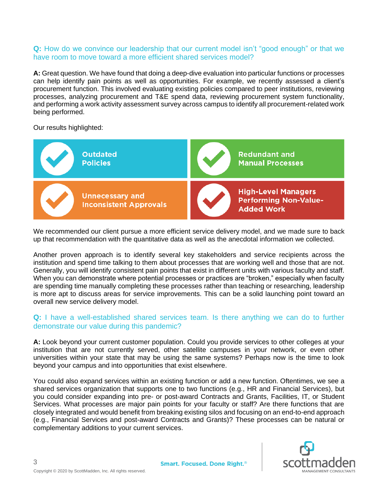#### **Q:** How do we convince our leadership that our current model isn't "good enough" or that we have room to move toward a more efficient shared services model?

**A:** Great question. We have found that doing a deep-dive evaluation into particular functions or processes can help identify pain points as well as opportunities. For example, we recently assessed a client's procurement function. This involved evaluating existing policies compared to peer institutions, reviewing processes, analyzing procurement and T&E spend data, reviewing procurement system functionality, and performing a work activity assessment survey across campus to identify all procurement-related work being performed.

Our results highlighted:



We recommended our client pursue a more efficient service delivery model, and we made sure to back up that recommendation with the quantitative data as well as the anecdotal information we collected.

Another proven approach is to identify several key stakeholders and service recipients across the institution and spend time talking to them about processes that are working well and those that are not. Generally, you will identify consistent pain points that exist in different units with various faculty and staff. When you can demonstrate where potential processes or practices are "broken," especially when faculty are spending time manually completing these processes rather than teaching or researching, leadership is more apt to discuss areas for service improvements. This can be a solid launching point toward an overall new service delivery model.

## **Q:** I have a well-established shared services team. Is there anything we can do to further demonstrate our value during this pandemic?

**A:** Look beyond your current customer population. Could you provide services to other colleges at your institution that are not currently served, other satellite campuses in your network, or even other universities within your state that may be using the same systems? Perhaps now is the time to look beyond your campus and into opportunities that exist elsewhere.

You could also expand services within an existing function or add a new function. Oftentimes, we see a shared services organization that supports one to two functions (e.g., HR and Financial Services), but you could consider expanding into pre- or post-award Contracts and Grants, Facilities, IT, or Student Services. What processes are major pain points for your faculty or staff? Are there functions that are closely integrated and would benefit from breaking existing silos and focusing on an end-to-end approach (e.g., Financial Services and post-award Contracts and Grants)? These processes can be natural or complementary additions to your current services.